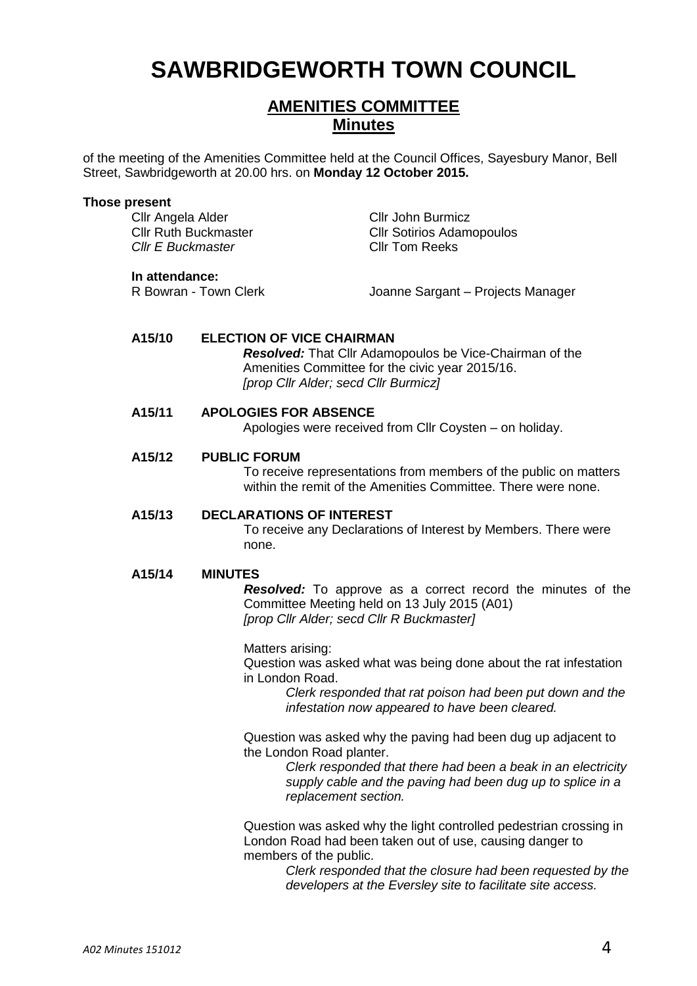# **SAWBRIDGEWORTH TOWN COUNCIL**

## **AMENITIES COMMITTEE Minutes**

of the meeting of the Amenities Committee held at the Council Offices, Sayesbury Manor, Bell Street, Sawbridgeworth at 20.00 hrs. on **Monday 12 October 2015.**

#### **Those present**

Cllr Angela Alder Cllr John Burmicz *Cllr E Buckmaster* Cllr Tom Reeks

Cllr Ruth Buckmaster Cllr Sotirios Adamopoulos

**In attendance:**<br>R Bowran - Town Clerk

Joanne Sargant – Projects Manager

#### **A15/10 ELECTION OF VICE CHAIRMAN**

*Resolved:* That Cllr Adamopoulos be Vice-Chairman of the Amenities Committee for the civic year 2015/16. *[prop Cllr Alder; secd Cllr Burmicz]*

#### **A15/11 APOLOGIES FOR ABSENCE**

Apologies were received from Cllr Coysten – on holiday.

#### **A15/12 PUBLIC FORUM**

To receive representations from members of the public on matters within the remit of the Amenities Committee. There were none.

#### **A15/13 DECLARATIONS OF INTEREST**

To receive any Declarations of Interest by Members. There were none.

#### **A15/14 MINUTES**

*Resolved:* To approve as a correct record the minutes of the Committee Meeting held on 13 July 2015 (A01) *[prop Cllr Alder; secd Cllr R Buckmaster]*

Matters arising: Question was asked what was being done about the rat infestation in London Road.

*Clerk responded that rat poison had been put down and the infestation now appeared to have been cleared.*

Question was asked why the paving had been dug up adjacent to the London Road planter.

> *Clerk responded that there had been a beak in an electricity supply cable and the paving had been dug up to splice in a replacement section.*

Question was asked why the light controlled pedestrian crossing in London Road had been taken out of use, causing danger to members of the public.

> *Clerk responded that the closure had been requested by the developers at the Eversley site to facilitate site access.*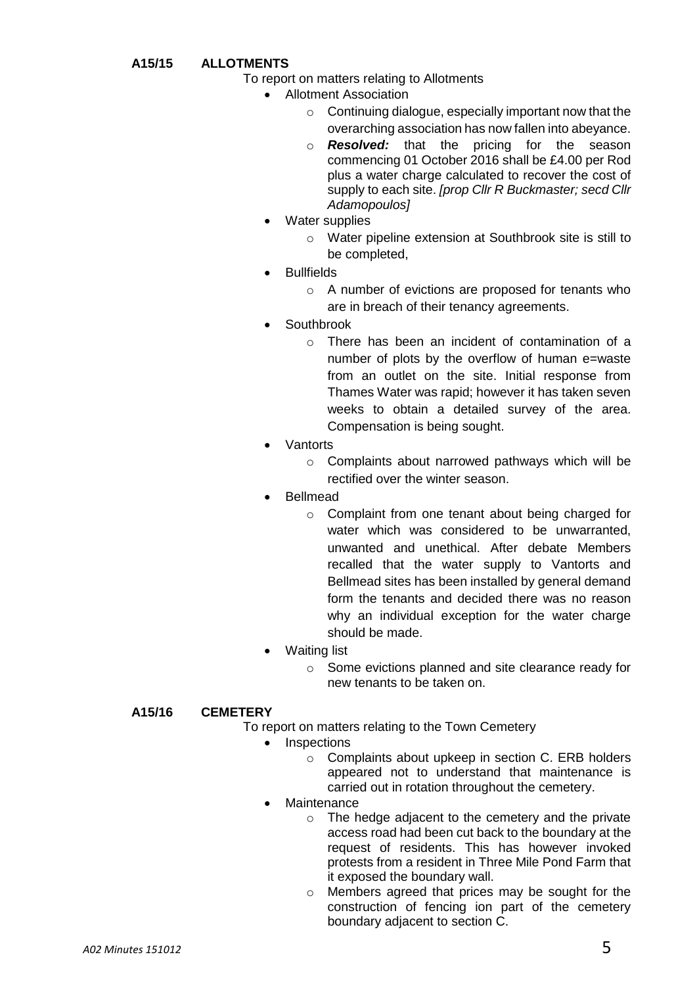- **A15/15 ALLOTMENTS**
	- To report on matters relating to Allotments
		- Allotment Association
			- o Continuing dialogue, especially important now that the overarching association has now fallen into abeyance.
			- o *Resolved:* that the pricing for the season commencing 01 October 2016 shall be £4.00 per Rod plus a water charge calculated to recover the cost of supply to each site. *[prop Cllr R Buckmaster; secd Cllr Adamopoulos]*
		- Water supplies
			- o Water pipeline extension at Southbrook site is still to be completed,
		- **Bullfields** 
			- o A number of evictions are proposed for tenants who are in breach of their tenancy agreements.
		- **Southbrook** 
			- o There has been an incident of contamination of a number of plots by the overflow of human e=waste from an outlet on the site. Initial response from Thames Water was rapid; however it has taken seven weeks to obtain a detailed survey of the area. Compensation is being sought.
		- Vantorts
			- o Complaints about narrowed pathways which will be rectified over the winter season.
		- Bellmead
			- o Complaint from one tenant about being charged for water which was considered to be unwarranted. unwanted and unethical. After debate Members recalled that the water supply to Vantorts and Bellmead sites has been installed by general demand form the tenants and decided there was no reason why an individual exception for the water charge should be made.
		- Waiting list
			- o Some evictions planned and site clearance ready for new tenants to be taken on.

#### **A15/16 CEMETERY**

- To report on matters relating to the Town Cemetery
	- **Inspections** 
		- o Complaints about upkeep in section C. ERB holders appeared not to understand that maintenance is carried out in rotation throughout the cemetery.
		- **Maintenance** 
			- o The hedge adjacent to the cemetery and the private access road had been cut back to the boundary at the request of residents. This has however invoked protests from a resident in Three Mile Pond Farm that it exposed the boundary wall.
			- o Members agreed that prices may be sought for the construction of fencing ion part of the cemetery boundary adjacent to section C.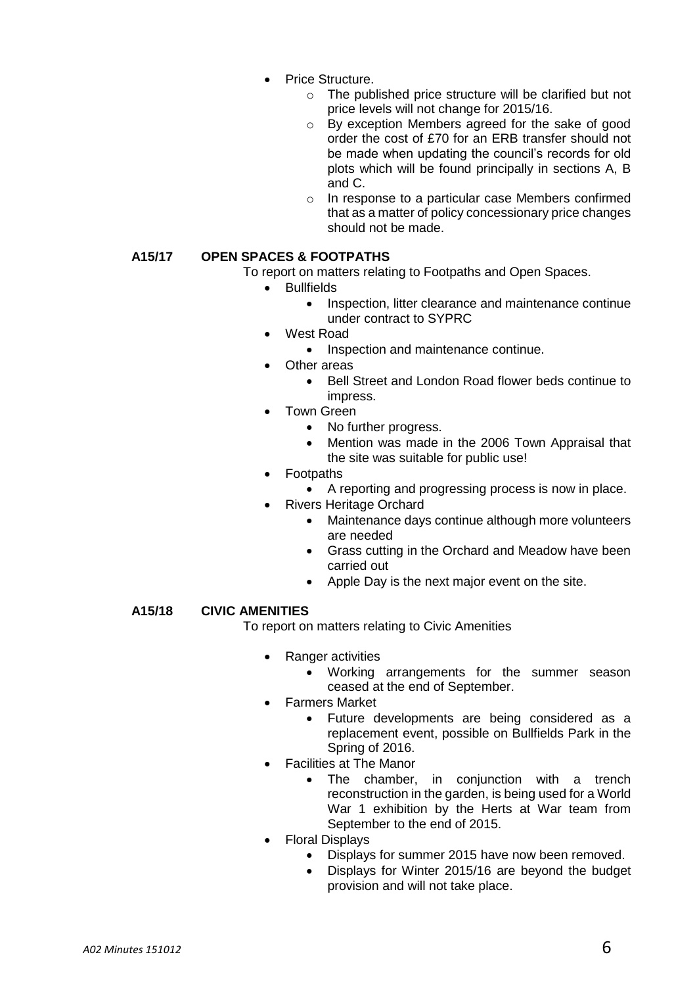- Price Structure.
	- o The published price structure will be clarified but not price levels will not change for 2015/16.
	- o By exception Members agreed for the sake of good order the cost of £70 for an ERB transfer should not be made when updating the council's records for old plots which will be found principally in sections A, B and C.
	- o In response to a particular case Members confirmed that as a matter of policy concessionary price changes should not be made.

### **A15/17 OPEN SPACES & FOOTPATHS**

To report on matters relating to Footpaths and Open Spaces.

- Bullfields
	- Inspection, litter clearance and maintenance continue under contract to SYPRC
- West Road
	- Inspection and maintenance continue.
	- Other areas
		- Bell Street and London Road flower beds continue to impress.
- Town Green
	- No further progress.
	- Mention was made in the 2006 Town Appraisal that the site was suitable for public use!
- Footpaths
	- A reporting and progressing process is now in place.
	- Rivers Heritage Orchard
		- Maintenance days continue although more volunteers are needed
		- Grass cutting in the Orchard and Meadow have been carried out
		- Apple Day is the next major event on the site.

#### **A15/18 CIVIC AMENITIES**

To report on matters relating to Civic Amenities

- Ranger activities
	- Working arrangements for the summer season ceased at the end of September.
- Farmers Market
	- Future developments are being considered as a replacement event, possible on Bullfields Park in the Spring of 2016.
- Facilities at The Manor
	- The chamber, in conjunction with a trench reconstruction in the garden, is being used for a World War 1 exhibition by the Herts at War team from September to the end of 2015.
- Floral Displays
	- Displays for summer 2015 have now been removed.
	- Displays for Winter 2015/16 are beyond the budget provision and will not take place.